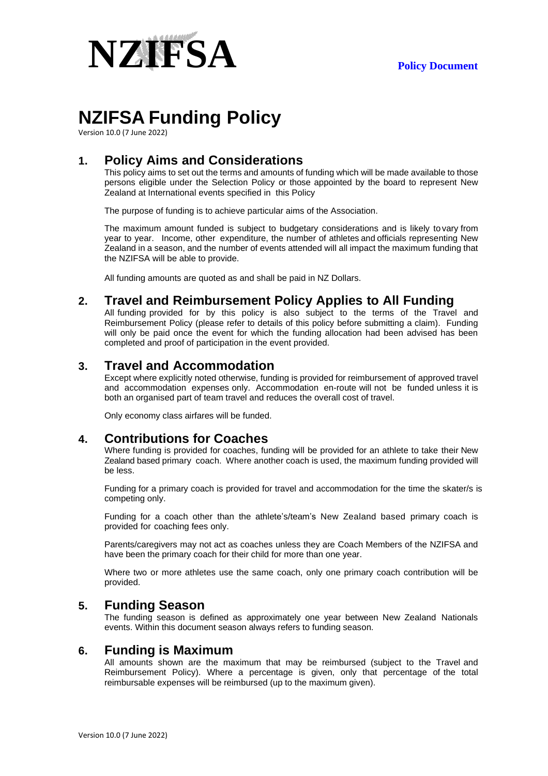

# **NZIFSA Funding Policy**

Version 10.0 (7 June 2022)

## **1. Policy Aims and Considerations**

This policy aims to set out the terms and amounts of funding which will be made available to those persons eligible under the Selection Policy or those appointed by the board to represent New Zealand at International events specified in this Policy

The purpose of funding is to achieve particular aims of the Association.

The maximum amount funded is subject to budgetary considerations and is likely to vary from year to year. Income, other expenditure, the number of athletes and officials representing New Zealand in a season, and the number of events attended will all impact the maximum funding that the NZIFSA will be able to provide.

All funding amounts are quoted as and shall be paid in NZ Dollars.

#### **2. Travel and Reimbursement Policy Applies to All Funding**

All funding provided for by this policy is also subject to the terms of the Travel and Reimbursement Policy (please refer to details of this policy before submitting a claim). Funding will only be paid once the event for which the funding allocation had been advised has been completed and proof of participation in the event provided.

#### **3. Travel and Accommodation**

Except where explicitly noted otherwise, funding is provided for reimbursement of approved travel and accommodation expenses only. Accommodation en-route will not be funded unless it is both an organised part of team travel and reduces the overall cost of travel.

Only economy class airfares will be funded.

#### **4. Contributions for Coaches**

Where funding is provided for coaches, funding will be provided for an athlete to take their New Zealand based primary coach. Where another coach is used, the maximum funding provided will be less.

Funding for a primary coach is provided for travel and accommodation for the time the skater/s is competing only.

Funding for a coach other than the athlete's/team's New Zealand based primary coach is provided for coaching fees only.

Parents/caregivers may not act as coaches unless they are Coach Members of the NZIFSA and have been the primary coach for their child for more than one year.

Where two or more athletes use the same coach, only one primary coach contribution will be provided.

#### **5. Funding Season**

The funding season is defined as approximately one year between New Zealand Nationals events. Within this document season always refers to funding season.

#### **6. Funding is Maximum**

All amounts shown are the maximum that may be reimbursed (subject to the Travel and Reimbursement Policy). Where a percentage is given, only that percentage of the total reimbursable expenses will be reimbursed (up to the maximum given).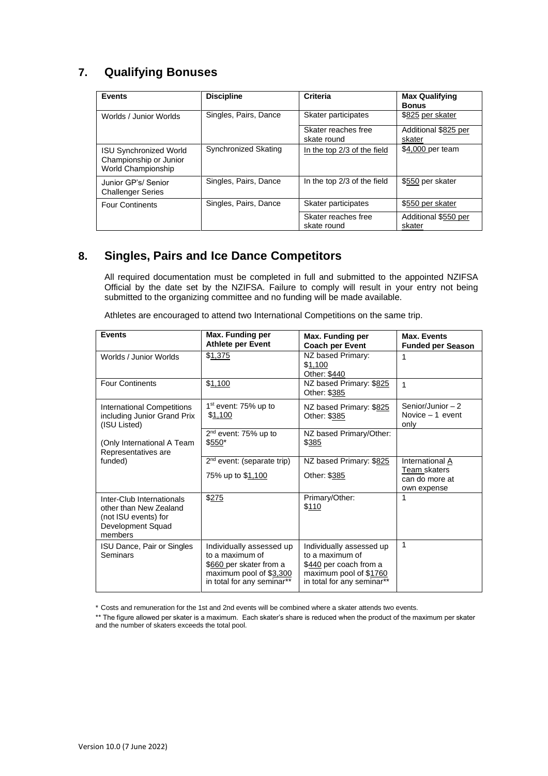## **7. Qualifying Bonuses**

| <b>Events</b>                                                                 | <b>Discipline</b>     | Criteria                           | <b>Max Qualifying</b><br><b>Bonus</b> |
|-------------------------------------------------------------------------------|-----------------------|------------------------------------|---------------------------------------|
| Worlds / Junior Worlds                                                        | Singles, Pairs, Dance | Skater participates                | \$825 per skater                      |
|                                                                               |                       | Skater reaches free<br>skate round | Additional \$825 per<br>skater        |
| <b>ISU Synchronized World</b><br>Championship or Junior<br>World Championship | Synchronized Skating  | In the top 2/3 of the field        | \$4,000 per team                      |
| Junior GP's/ Senior<br><b>Challenger Series</b>                               | Singles, Pairs, Dance | In the top 2/3 of the field        | \$550 per skater                      |
| <b>Four Continents</b>                                                        | Singles, Pairs, Dance | Skater participates                | \$550 per skater                      |
|                                                                               |                       | Skater reaches free<br>skate round | Additional \$550 per<br>skater        |

#### **8. Singles, Pairs and Ice Dance Competitors**

All required documentation must be completed in full and submitted to the appointed NZIFSA Official by the date set by the NZIFSA. Failure to comply will result in your entry not being submitted to the organizing committee and no funding will be made available.

| Athletes are encouraged to attend two International Competitions on the same trip. |  |  |
|------------------------------------------------------------------------------------|--|--|
|                                                                                    |  |  |

| <b>Events</b>                     | Max. Funding per                 | Max. Funding per           | Max. Events              |
|-----------------------------------|----------------------------------|----------------------------|--------------------------|
|                                   | <b>Athlete per Event</b>         | <b>Coach per Event</b>     | <b>Funded per Season</b> |
| Worlds / Junior Worlds            | \$1,375                          | NZ based Primary:          | 1                        |
|                                   |                                  | \$1,100                    |                          |
|                                   |                                  | Other: \$440               |                          |
| <b>Four Continents</b>            | \$1,100                          | NZ based Primary: \$825    | 1                        |
|                                   |                                  | Other: \$385               |                          |
| <b>International Competitions</b> | 1 <sup>st</sup> event: 75% up to | NZ based Primary: \$825    | Senior/Junior $-2$       |
| including Junior Grand Prix       | \$1,100                          | Other: \$385               | Novice $-1$ event        |
| (ISU Listed)                      |                                  |                            | only                     |
|                                   | $2nd$ event: 75% up to           | NZ based Primary/Other:    |                          |
| (Only International A Team        | \$550*                           | \$385                      |                          |
| Representatives are               |                                  |                            |                          |
| funded)                           | $2nd$ event: (separate trip)     | NZ based Primary: \$825    | International A          |
|                                   | 75% up to \$1,100                | Other: \$385               | Team skaters             |
|                                   |                                  |                            | can do more at           |
|                                   |                                  |                            | own expense              |
| Inter-Club Internationals         | \$275                            | Primary/Other:             | 1                        |
| other than New Zealand            |                                  | \$110                      |                          |
| (not ISU events) for              |                                  |                            |                          |
| Development Squad                 |                                  |                            |                          |
| members                           |                                  |                            |                          |
| ISU Dance, Pair or Singles        | Individually assessed up         | Individually assessed up   | 1                        |
| Seminars                          | to a maximum of                  | to a maximum of            |                          |
|                                   | \$660 per skater from a          | \$440 per coach from a     |                          |
|                                   | maximum pool of \$3,300          | maximum pool of \$1760     |                          |
|                                   | in total for any seminar**       | in total for any seminar** |                          |
|                                   |                                  |                            |                          |

\* Costs and remuneration for the 1st and 2nd events will be combined where a skater attends two events.

\*\* The figure allowed per skater is a maximum. Each skater's share is reduced when the product of the maximum per skater and the number of skaters exceeds the total pool.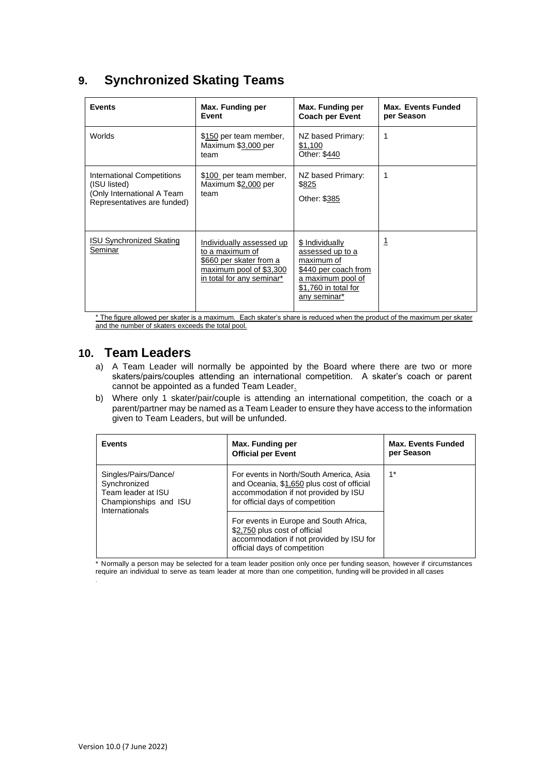## **9. Synchronized Skating Teams**

| <b>Events</b>                                                                                           | Max. Funding per<br>Event                                                                                                      | Max. Funding per<br><b>Coach per Event</b>                                                                                             | <b>Max. Events Funded</b><br>per Season |
|---------------------------------------------------------------------------------------------------------|--------------------------------------------------------------------------------------------------------------------------------|----------------------------------------------------------------------------------------------------------------------------------------|-----------------------------------------|
| Worlds                                                                                                  | \$150 per team member,<br>Maximum \$3,000 per<br>team                                                                          | NZ based Primary:<br>\$1,100<br>Other: \$440                                                                                           | 1                                       |
| International Competitions<br>(ISU listed)<br>(Only International A Team<br>Representatives are funded) | \$100 per team member,<br>Maximum \$2,000 per<br>team                                                                          | NZ based Primary:<br>\$825<br>Other: \$385                                                                                             | 1                                       |
| <b>ISU Synchronized Skating</b><br>Seminar                                                              | Individually assessed up<br>to a maximum of<br>\$660 per skater from a<br>maximum pool of \$3,300<br>in total for any seminar* | \$ Individually<br>assessed up to a<br>maximum of<br>\$440 per coach from<br>a maximum pool of<br>\$1,760 in total for<br>any seminar* | <u> 1</u>                               |

\* The figure allowed per skater is a maximum. Each skater's share is reduced when the product of the maximum per skater and the number of skaters exceeds the total pool.

#### **10. Team Leaders**

- a) A Team Leader will normally be appointed by the Board where there are two or more skaters/pairs/couples attending an international competition. A skater's coach or parent cannot be appointed as a funded Team Leader.
- b) Where only 1 skater/pair/couple is attending an international competition, the coach or a parent/partner may be named as a Team Leader to ensure they have access to the information given to Team Leaders, but will be unfunded.

| <b>Events</b>                                                                                         | Max. Funding per<br><b>Official per Event</b>                                                                                                                     | <b>Max. Events Funded</b><br>per Season |
|-------------------------------------------------------------------------------------------------------|-------------------------------------------------------------------------------------------------------------------------------------------------------------------|-----------------------------------------|
| Singles/Pairs/Dance/<br>Synchronized<br>Team leader at ISU<br>Championships and ISU<br>Internationals | For events in North/South America, Asia<br>and Oceania, \$1,650 plus cost of official<br>accommodation if not provided by ISU<br>for official days of competition | $1^*$                                   |
|                                                                                                       | For events in Europe and South Africa,<br>\$2,750 plus cost of official<br>accommodation if not provided by ISU for<br>official days of competition               |                                         |

\* Normally a person may be selected for a team leader position only once per funding season, however if circumstances require an individual to serve as team leader at more than one competition, funding will be provided in all cases

.